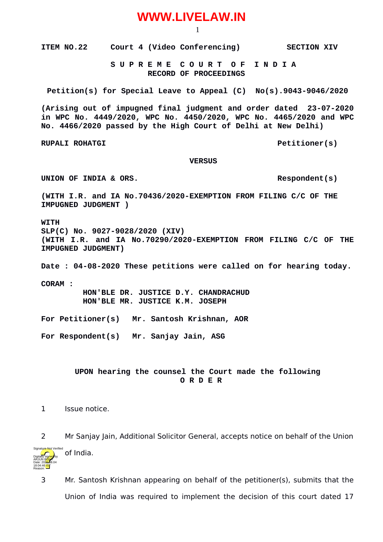## **WWW.LIVELAW.IN**

1

**ITEM NO.22** Court 4 (Video Conferencing) SECTION XIV

 **S U P R E M E C O U R T O F I N D I A RECORD OF PROCEEDINGS**

**Petition(s) for Special Leave to Appeal (C) No(s).9043-9046/2020**

**(Arising out of impugned final judgment and order dated 23-07-2020 in WPC No. 4449/2020, WPC No. 4450/2020, WPC No. 4465/2020 and WPC No. 4466/2020 passed by the High Court of Delhi at New Delhi)**

**RUPALI ROHATGI Petitioner(s)**

## **VERSUS**

UNION OF INDIA & ORS.

**(WITH I.R. and IA No.70436/2020-EXEMPTION FROM FILING C/C OF THE IMPUGNED JUDGMENT )**

**WITH SLP(C) No. 9027-9028/2020 (XIV) (WITH I.R. and IA No.70290/2020-EXEMPTION FROM FILING C/C OF THE IMPUGNED JUDGMENT)**

**Date : 04-08-2020 These petitions were called on for hearing today. CORAM : HON'BLE DR. JUSTICE D.Y. CHANDRACHUD HON'BLE MR. JUSTICE K.M. JOSEPH**

**For Petitioner(s) Mr. Santosh Krishnan, AOR**

**For Respondent(s) Mr. Sanjay Jain, ASG**

**UPON hearing the counsel the Court made the following O R D E R**

1 Issue notice.

Date: 2020.08.04 18:04:46 **IST** Reason:

2 Mr Sanjay Jain, Additional Solicitor General, accepts notice on behalf of the Union of India. Digitally signed by arjun B<mark>ish</mark>t Signature Not Verified

3 Mr. Santosh Krishnan appearing on behalf of the petitioner(s), submits that the Union of India was required to implement the decision of this court dated 17